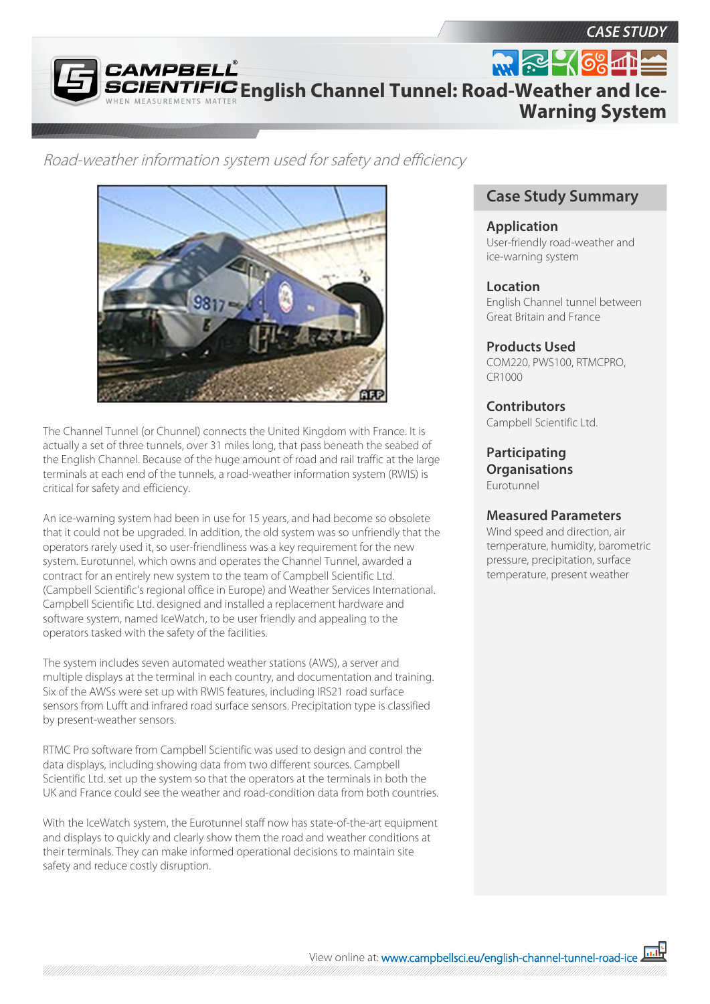*CASE STUDY*

**CAMPBEL English Channel Tunnel: Road-Weather and Ice-Warning System**

Road-weather information system used for safety and efficiency



The Channel Tunnel (or Chunnel) connects the United Kingdom with France. It is actually a set of three tunnels, over 31 miles long, that pass beneath the seabed of the English Channel. Because of the huge amount of road and rail traffic at the large terminals at each end of the tunnels, a road-weather information system (RWIS) is critical for safety and efficiency.

An ice-warning system had been in use for 15 years, and had become so obsolete that it could not be upgraded. In addition, the old system was so unfriendly that the operators rarely used it, so user-friendliness was a key requirement for the new system. Eurotunnel, which owns and operates the Channel Tunnel, awarded a contract for an entirely new system to the team of Campbell Scientific Ltd. (Campbell Scientific's regional office in Europe) and Weather Services International. Campbell Scientific Ltd. designed and installed a replacement hardware and software system, named IceWatch, to be user friendly and appealing to the operators tasked with the safety of the facilities.

The system includes seven automated weather stations (AWS), a server and multiple displays at the terminal in each country, and documentation and training. Six of the AWSs were set up with RWIS features, including IRS21 road surface sensors from Lufft and infrared road surface sensors. Precipitation type is classified by present-weather sensors.

RTMC Pro software from Campbell Scientific was used to design and control the data displays, including showing data from two different sources. Campbell Scientific Ltd. set up the system so that the operators at the terminals in both the UK and France could see the weather and road-condition data from both countries.

With the IceWatch system, the Eurotunnel staff now has state-of-the-art equipment and displays to quickly and clearly show them the road and weather conditions at their terminals. They can make informed operational decisions to maintain site safety and reduce costly disruption.

# **Case Study Summary**

#### **Application**

User-friendly road-weather and ice-warning system

## **Location**

English Channel tunnel between Great Britain and France

# **Products Used**

COM220, PWS100, RTMCPRO, CR1000

# **Contributors**

Campbell Scientific Ltd.

#### **Participating Organisations** Eurotunnel

## **Measured Parameters**

Wind speed and direction, air temperature, humidity, barometric pressure, precipitation, surface temperature, present weather